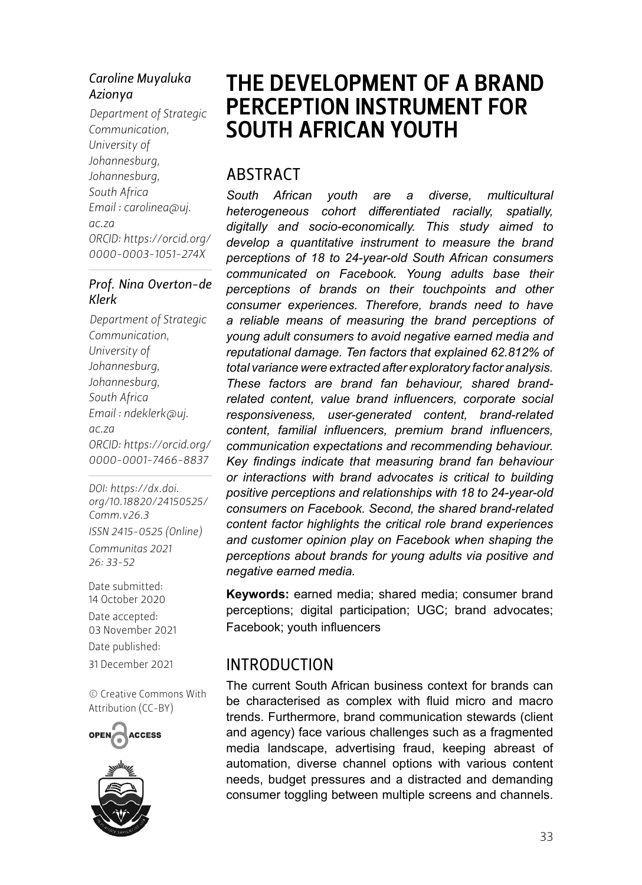#### *Caroline Muyaluka Azionya*

*Department of Strategic Communication, University of Johannesburg, Johannesburg, South Africa Email : [carolinea@uj.](mailto:carolinea@uj.ac.za) [ac.za](mailto:carolinea@uj.ac.za) ORCID: [https://orcid.org/](https://orcid.org/0000-0003-1051-274X) 0000-0003-1051-274X*

#### *Prof. Nina Overton-de Klerk*

*Department of Strategic Communication, University of Johannesburg, Johannesburg, South Africa Email : [ndeklerk@uj.](http://ndeklerk@uj.ac.za) [ac.za](http://ndeklerk@uj.ac.za) ORCID: [https://orcid.org/](https://orcid.org/0000-0001-7466-8837) 0000-0001-7466-8837*

*DOI: [https://dx.doi.](https://dx.doi.org/10.18820/24150525/Comm.v26.3) [org/10.18820/24150525/](https://dx.doi.org/10.18820/24150525/Comm.v26.3) [Comm.v](https://dx.doi.org/10.18820/24150525/Comm.v26.3)26.3 ISSN 2415-0525 (Online) Communitas 2021 26: 33-52*

Date submitted: 14 October 2020 Date accepted: 03 November 2021 Date published:

31 December 2021

[© Creative Commons With](https://creativecommons.org/licenses/by/2.0/za/)  [Attribution \(CC-BY\)](https://creativecommons.org/licenses/by/2.0/za/)



# THE DEVELOPMENT OF A BRAND PERCEPTION INSTRUMENT FOR SOUTH AFRICAN YOUTH

### **ARSTRACT**

*South African youth are a diverse, multicultural heterogeneous cohort differentiated racially, spatially, digitally and socio-economically. This study aimed to develop a quantitative instrument to measure the brand perceptions of 18 to 24-year-old South African consumers communicated on Facebook. Young adults base their perceptions of brands on their touchpoints and other consumer experiences. Therefore, brands need to have a reliable means of measuring the brand perceptions of young adult consumers to avoid negative earned media and reputational damage. Ten factors that explained 62.812% of total variance were extracted after exploratory factor analysis. These factors are brand fan behaviour, shared brandrelated content, value brand influencers, corporate social responsiveness, user-generated content, brand-related content, familial influencers, premium brand influencers, communication expectations and recommending behaviour. Key findings indicate that measuring brand fan behaviour or interactions with brand advocates is critical to building positive perceptions and relationships with 18 to 24-year-old consumers on Facebook. Second, the shared brand-related content factor highlights the critical role brand experiences and customer opinion play on Facebook when shaping the perceptions about brands for young adults via positive and negative earned media.* 

**Keywords:** earned media; shared media; consumer brand perceptions; digital participation; UGC; brand advocates; Facebook; youth influencers

#### INTRODUCTION

The current South African business context for brands can be characterised as complex with fluid micro and macro trends. Furthermore, brand communication stewards (client and agency) face various challenges such as a fragmented media landscape, advertising fraud, keeping abreast of automation, diverse channel options with various content needs, budget pressures and a distracted and demanding consumer toggling between multiple screens and channels.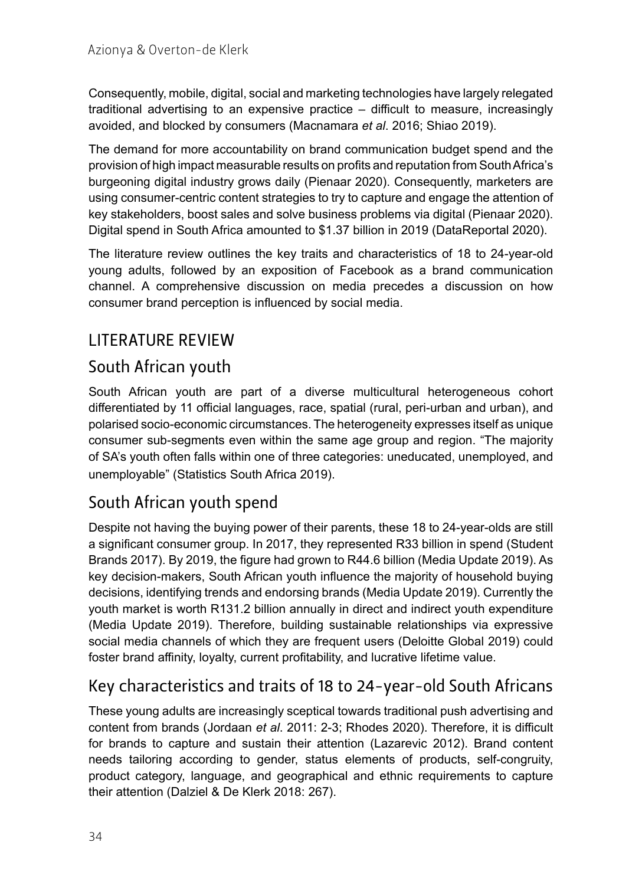Consequently, mobile, digital, social and marketing technologies have largely relegated traditional advertising to an expensive practice – difficult to measure, increasingly avoided, and blocked by consumers (Macnamara *et al*. 2016; Shiao 2019).

The demand for more accountability on brand communication budget spend and the provision of high impact measurable results on profits and reputation from South Africa's burgeoning digital industry grows daily (Pienaar 2020). Consequently, marketers are using consumer-centric content strategies to try to capture and engage the attention of key stakeholders, boost sales and solve business problems via digital (Pienaar 2020). Digital spend in South Africa amounted to \$1.37 billion in 2019 (DataReportal 2020).

The literature review outlines the key traits and characteristics of 18 to 24-year-old young adults, followed by an exposition of Facebook as a brand communication channel. A comprehensive discussion on media precedes a discussion on how consumer brand perception is influenced by social media.

## LITERATURE REVIEW

### South African youth

South African youth are part of a diverse multicultural heterogeneous cohort differentiated by 11 official languages, race, spatial (rural, peri-urban and urban), and polarised socio-economic circumstances. The heterogeneity expresses itself as unique consumer sub-segments even within the same age group and region. "The majority of SA's youth often falls within one of three categories: uneducated, unemployed, and unemployable" (Statistics South Africa 2019).

### South African youth spend

Despite not having the buying power of their parents, these 18 to 24-year-olds are still a significant consumer group. In 2017, they represented R33 billion in spend (Student Brands 2017). By 2019, the figure had grown to R44.6 billion (Media Update 2019). As key decision-makers, South African youth influence the majority of household buying decisions, identifying trends and endorsing brands (Media Update 2019). Currently the youth market is worth R131.2 billion annually in direct and indirect youth expenditure (Media Update 2019). Therefore, building sustainable relationships via expressive social media channels of which they are frequent users (Deloitte Global 2019) could foster brand affinity, loyalty, current profitability, and lucrative lifetime value.

### Key characteristics and traits of 18 to 24-year-old South Africans

These young adults are increasingly sceptical towards traditional push advertising and content from brands (Jordaan *et al*. 2011: 2-3; Rhodes 2020). Therefore, it is difficult for brands to capture and sustain their attention (Lazarevic 2012). Brand content needs tailoring according to gender, status elements of products, self-congruity, product category, language, and geographical and ethnic requirements to capture their attention (Dalziel & De Klerk 2018: 267).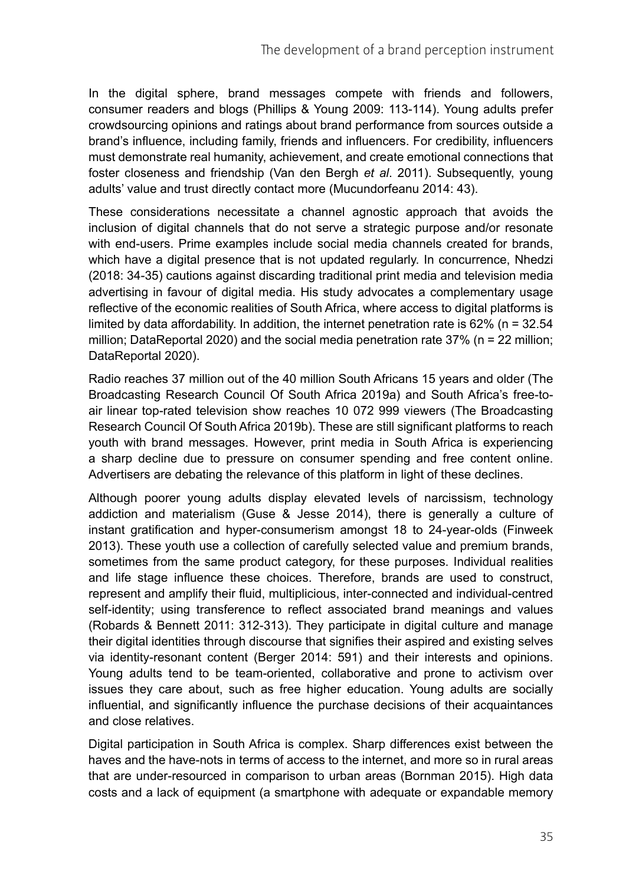In the digital sphere, brand messages compete with friends and followers, consumer readers and blogs (Phillips & Young 2009: 113-114). Young adults prefer crowdsourcing opinions and ratings about brand performance from sources outside a brand's influence, including family, friends and influencers. For credibility, influencers must demonstrate real humanity, achievement, and create emotional connections that foster closeness and friendship (Van den Bergh *et al*. 2011). Subsequently, young adults' value and trust directly contact more (Mucundorfeanu 2014: 43).

These considerations necessitate a channel agnostic approach that avoids the inclusion of digital channels that do not serve a strategic purpose and/or resonate with end-users. Prime examples include social media channels created for brands, which have a digital presence that is not updated regularly. In concurrence, Nhedzi (2018: 34-35) cautions against discarding traditional print media and television media advertising in favour of digital media. His study advocates a complementary usage reflective of the economic realities of South Africa, where access to digital platforms is limited by data affordability. In addition, the internet penetration rate is  $62\%$  (n = 32.54 million; DataReportal 2020) and the social media penetration rate 37% (n = 22 million; DataReportal 2020).

Radio reaches 37 million out of the 40 million South Africans 15 years and older (The Broadcasting Research Council Of South Africa 2019a) and South Africa's free-toair linear top-rated television show reaches 10 072 999 viewers (The Broadcasting Research Council Of South Africa 2019b). These are still significant platforms to reach youth with brand messages. However, print media in South Africa is experiencing a sharp decline due to pressure on consumer spending and free content online. Advertisers are debating the relevance of this platform in light of these declines.

Although poorer young adults display elevated levels of narcissism, technology addiction and materialism (Guse & Jesse 2014), there is generally a culture of instant gratification and hyper-consumerism amongst 18 to 24-year-olds (Finweek 2013). These youth use a collection of carefully selected value and premium brands, sometimes from the same product category, for these purposes. Individual realities and life stage influence these choices. Therefore, brands are used to construct, represent and amplify their fluid, multiplicious, inter-connected and individual-centred self-identity; using transference to reflect associated brand meanings and values (Robards & Bennett 2011: 312-313). They participate in digital culture and manage their digital identities through discourse that signifies their aspired and existing selves via identity-resonant content (Berger 2014: 591) and their interests and opinions. Young adults tend to be team-oriented, collaborative and prone to activism over issues they care about, such as free higher education. Young adults are socially influential, and significantly influence the purchase decisions of their acquaintances and close relatives.

Digital participation in South Africa is complex. Sharp differences exist between the haves and the have-nots in terms of access to the internet, and more so in rural areas that are under-resourced in comparison to urban areas (Bornman 2015). High data costs and a lack of equipment (a smartphone with adequate or expandable memory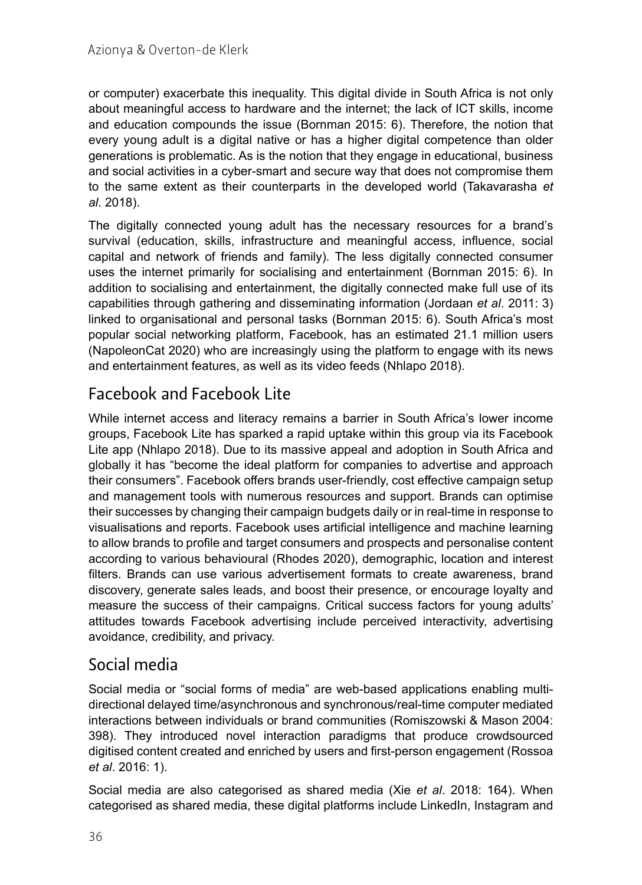or computer) exacerbate this inequality. This digital divide in South Africa is not only about meaningful access to hardware and the internet; the lack of ICT skills, income and education compounds the issue (Bornman 2015: 6). Therefore, the notion that every young adult is a digital native or has a higher digital competence than older generations is problematic. As is the notion that they engage in educational, business and social activities in a cyber-smart and secure way that does not compromise them to the same extent as their counterparts in the developed world (Takavarasha *et al*. 2018).

The digitally connected young adult has the necessary resources for a brand's survival (education, skills, infrastructure and meaningful access, influence, social capital and network of friends and family). The less digitally connected consumer uses the internet primarily for socialising and entertainment (Bornman 2015: 6). In addition to socialising and entertainment, the digitally connected make full use of its capabilities through gathering and disseminating information (Jordaan *et al*. 2011: 3) linked to organisational and personal tasks (Bornman 2015: 6). South Africa's most popular social networking platform, Facebook, has an estimated 21.1 million users (NapoleonCat 2020) who are increasingly using the platform to engage with its news and entertainment features, as well as its video feeds (Nhlapo 2018).

## Facebook and Facebook Lite

While internet access and literacy remains a barrier in South Africa's lower income groups, Facebook Lite has sparked a rapid uptake within this group via its Facebook Lite app (Nhlapo 2018). Due to its massive appeal and adoption in South Africa and globally it has "become the ideal platform for companies to advertise and approach their consumers". Facebook offers brands user-friendly, cost effective campaign setup and management tools with numerous resources and support. Brands can optimise their successes by changing their campaign budgets daily or in real-time in response to visualisations and reports. Facebook uses artificial intelligence and machine learning to allow brands to profile and target consumers and prospects and personalise content according to various behavioural (Rhodes 2020), demographic, location and interest filters. Brands can use various advertisement formats to create awareness, brand discovery, generate sales leads, and boost their presence, or encourage loyalty and measure the success of their campaigns. Critical success factors for young adults' attitudes towards Facebook advertising include perceived interactivity, advertising avoidance, credibility, and privacy.

### Social media

Social media or "social forms of media" are web-based applications enabling multidirectional delayed time/asynchronous and synchronous/real-time computer mediated interactions between individuals or brand communities (Romiszowski & Mason 2004: 398). They introduced novel interaction paradigms that produce crowdsourced digitised content created and enriched by users and first-person engagement (Rossoa *et al*. 2016: 1).

Social media are also categorised as shared media (Xie *et al*. 2018: 164). When categorised as shared media, these digital platforms include LinkedIn, Instagram and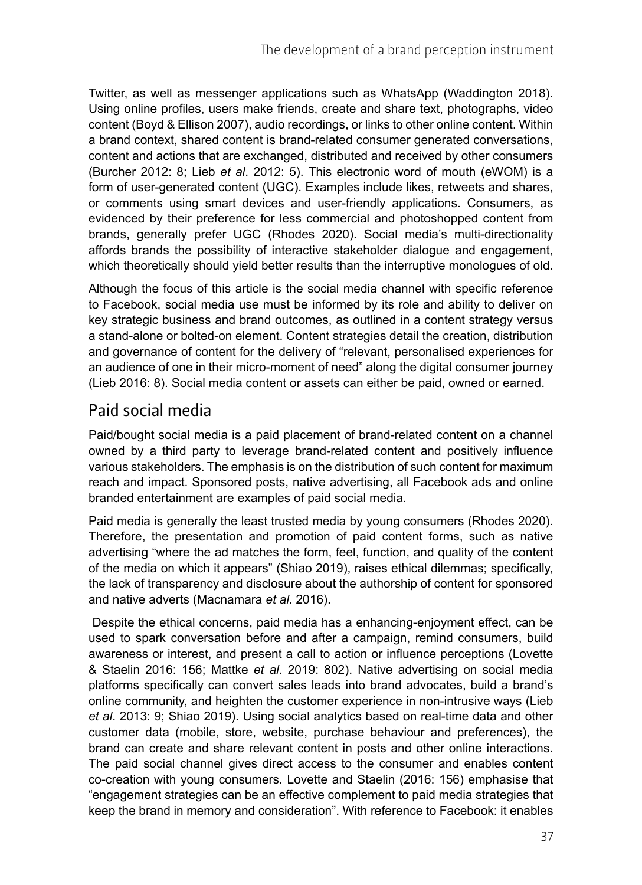Twitter, as well as messenger applications such as WhatsApp (Waddington 2018). Using online profiles, users make friends, create and share text, photographs, video content (Boyd & Ellison 2007), audio recordings, or links to other online content. Within a brand context, shared content is brand-related consumer generated conversations, content and actions that are exchanged, distributed and received by other consumers (Burcher 2012: 8; Lieb *et al*. 2012: 5). This electronic word of mouth (eWOM) is a form of user-generated content (UGC). Examples include likes, retweets and shares, or comments using smart devices and user-friendly applications. Consumers, as evidenced by their preference for less commercial and photoshopped content from brands, generally prefer UGC (Rhodes 2020). Social media's multi-directionality affords brands the possibility of interactive stakeholder dialogue and engagement, which theoretically should yield better results than the interruptive monologues of old.

Although the focus of this article is the social media channel with specific reference to Facebook, social media use must be informed by its role and ability to deliver on key strategic business and brand outcomes, as outlined in a content strategy versus a stand-alone or bolted-on element. Content strategies detail the creation, distribution and governance of content for the delivery of "relevant, personalised experiences for an audience of one in their micro-moment of need" along the digital consumer journey (Lieb 2016: 8). Social media content or assets can either be paid, owned or earned.

### Paid social media

Paid/bought social media is a paid placement of brand-related content on a channel owned by a third party to leverage brand-related content and positively influence various stakeholders. The emphasis is on the distribution of such content for maximum reach and impact. Sponsored posts, native advertising, all Facebook ads and online branded entertainment are examples of paid social media.

Paid media is generally the least trusted media by young consumers (Rhodes 2020). Therefore, the presentation and promotion of paid content forms, such as native advertising "where the ad matches the form, feel, function, and quality of the content of the media on which it appears" (Shiao 2019), raises ethical dilemmas; specifically, the lack of transparency and disclosure about the authorship of content for sponsored and native adverts (Macnamara *et al*. 2016).

 Despite the ethical concerns, paid media has a enhancing-enjoyment effect, can be used to spark conversation before and after a campaign, remind consumers, build awareness or interest, and present a call to action or influence perceptions (Lovette & Staelin 2016: 156; Mattke *et al*. 2019: 802). Native advertising on social media platforms specifically can convert sales leads into brand advocates, build a brand's online community, and heighten the customer experience in non-intrusive ways (Lieb *et al*. 2013: 9; Shiao 2019). Using social analytics based on real-time data and other customer data (mobile, store, website, purchase behaviour and preferences), the brand can create and share relevant content in posts and other online interactions. The paid social channel gives direct access to the consumer and enables content co-creation with young consumers. Lovette and Staelin (2016: 156) emphasise that "engagement strategies can be an effective complement to paid media strategies that keep the brand in memory and consideration". With reference to Facebook: it enables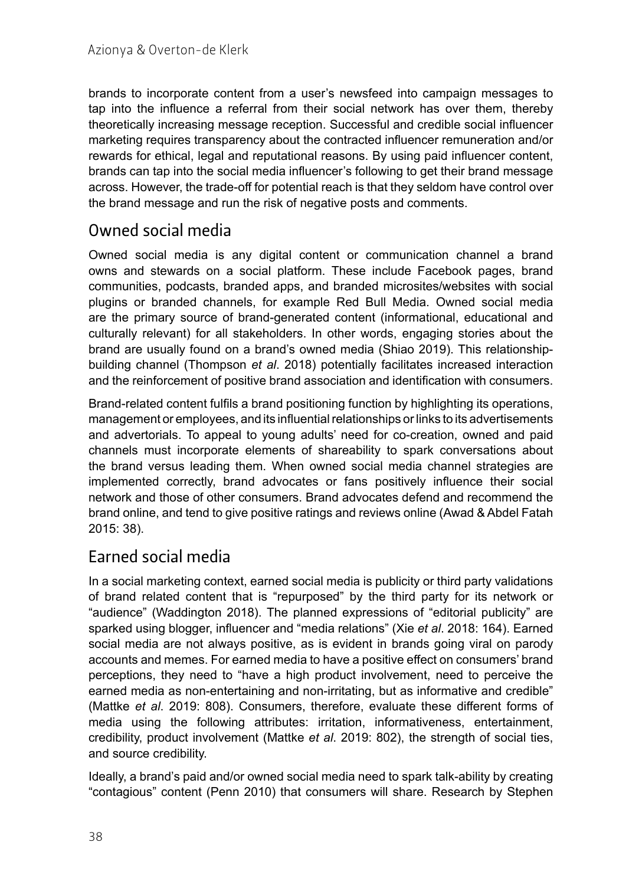brands to incorporate content from a user's newsfeed into campaign messages to tap into the influence a referral from their social network has over them, thereby theoretically increasing message reception. Successful and credible social influencer marketing requires transparency about the contracted influencer remuneration and/or rewards for ethical, legal and reputational reasons. By using paid influencer content, brands can tap into the social media influencer's following to get their brand message across. However, the trade-off for potential reach is that they seldom have control over the brand message and run the risk of negative posts and comments.

### Owned social media

Owned social media is any digital content or communication channel a brand owns and stewards on a social platform. These include Facebook pages, brand communities, podcasts, branded apps, and branded microsites/websites with social plugins or branded channels, for example Red Bull Media. Owned social media are the primary source of brand-generated content (informational, educational and culturally relevant) for all stakeholders. In other words, engaging stories about the brand are usually found on a brand's owned media (Shiao 2019). This relationshipbuilding channel (Thompson *et al*. 2018) potentially facilitates increased interaction and the reinforcement of positive brand association and identification with consumers.

Brand-related content fulfils a brand positioning function by highlighting its operations, management or employees, and its influential relationships or links to its advertisements and advertorials. To appeal to young adults' need for co-creation, owned and paid channels must incorporate elements of shareability to spark conversations about the brand versus leading them. When owned social media channel strategies are implemented correctly, brand advocates or fans positively influence their social network and those of other consumers. Brand advocates defend and recommend the brand online, and tend to give positive ratings and reviews online (Awad & Abdel Fatah 2015: 38).

### Earned social media

In a social marketing context, earned social media is publicity or third party validations of brand related content that is "repurposed" by the third party for its network or "audience" (Waddington 2018). The planned expressions of "editorial publicity" are sparked using blogger, influencer and "media relations" (Xie *et al*. 2018: 164). Earned social media are not always positive, as is evident in brands going viral on parody accounts and memes. For earned media to have a positive effect on consumers' brand perceptions, they need to "have a high product involvement, need to perceive the earned media as non-entertaining and non-irritating, but as informative and credible" (Mattke *et al*. 2019: 808). Consumers, therefore, evaluate these different forms of media using the following attributes: irritation, informativeness, entertainment, credibility, product involvement (Mattke *et al*. 2019: 802), the strength of social ties, and source credibility.

Ideally, a brand's paid and/or owned social media need to spark talk-ability by creating "contagious" content (Penn 2010) that consumers will share. Research by Stephen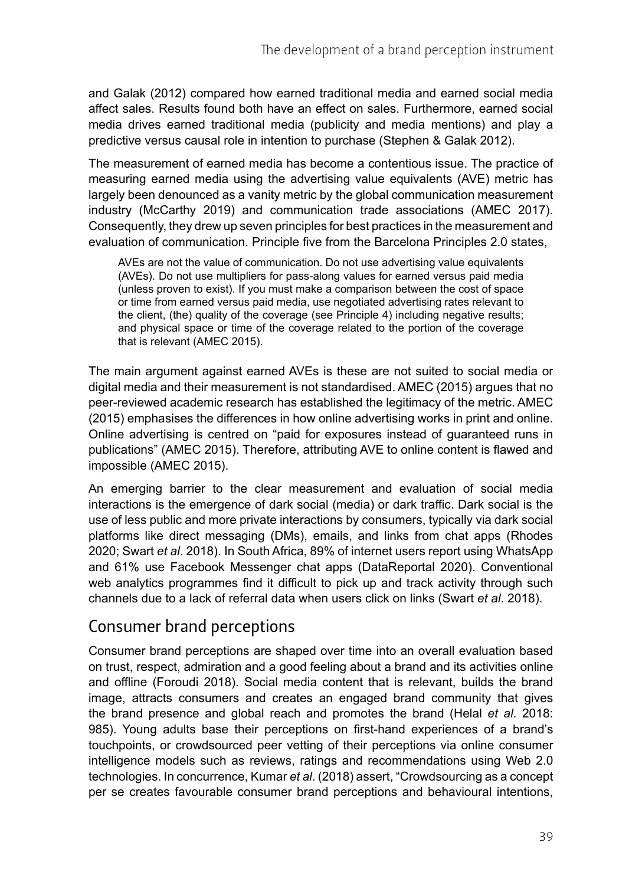and Galak (2012) compared how earned traditional media and earned social media affect sales. Results found both have an effect on sales. Furthermore, earned social media drives earned traditional media (publicity and media mentions) and play a predictive versus causal role in intention to purchase (Stephen & Galak 2012).

The measurement of earned media has become a contentious issue. The practice of measuring earned media using the advertising value equivalents (AVE) metric has largely been denounced as a vanity metric by the global communication measurement industry (McCarthy 2019) and communication trade associations (AMEC 2017). Consequently, they drew up seven principles for best practices in the measurement and evaluation of communication. Principle five from the Barcelona Principles 2.0 states,

AVEs are not the value of communication. Do not use advertising value equivalents (AVEs). Do not use multipliers for pass-along values for earned versus paid media (unless proven to exist). If you must make a comparison between the cost of space or time from earned versus paid media, use negotiated advertising rates relevant to the client, (the) quality of the coverage (see Principle 4) including negative results; and physical space or time of the coverage related to the portion of the coverage that is relevant (AMEC 2015).

The main argument against earned AVEs is these are not suited to social media or digital media and their measurement is not standardised. AMEC (2015) argues that no peer-reviewed academic research has established the legitimacy of the metric. AMEC (2015) emphasises the differences in how online advertising works in print and online. Online advertising is centred on "paid for exposures instead of guaranteed runs in publications" (AMEC 2015). Therefore, attributing AVE to online content is flawed and impossible (AMEC 2015).

An emerging barrier to the clear measurement and evaluation of social media interactions is the emergence of dark social (media) or dark traffic. Dark social is the use of less public and more private interactions by consumers, typically via dark social platforms like direct messaging (DMs), emails, and links from chat apps (Rhodes 2020; Swart *et al*. 2018). In South Africa, 89% of internet users report using WhatsApp and 61% use Facebook Messenger chat apps (DataReportal 2020). Conventional web analytics programmes find it difficult to pick up and track activity through such channels due to a lack of referral data when users click on links (Swart *et al*. 2018).

### Consumer brand perceptions

Consumer brand perceptions are shaped over time into an overall evaluation based on trust, respect, admiration and a good feeling about a brand and its activities online and offline (Foroudi 2018). Social media content that is relevant, builds the brand image, attracts consumers and creates an engaged brand community that gives the brand presence and global reach and promotes the brand (Helal *et al*. 2018: 985). Young adults base their perceptions on first-hand experiences of a brand's touchpoints, or crowdsourced peer vetting of their perceptions via online consumer intelligence models such as reviews, ratings and recommendations using Web 2.0 technologies. In concurrence, Kumar *et al*. (2018) assert, "Crowdsourcing as a concept per se creates favourable consumer brand perceptions and behavioural intentions,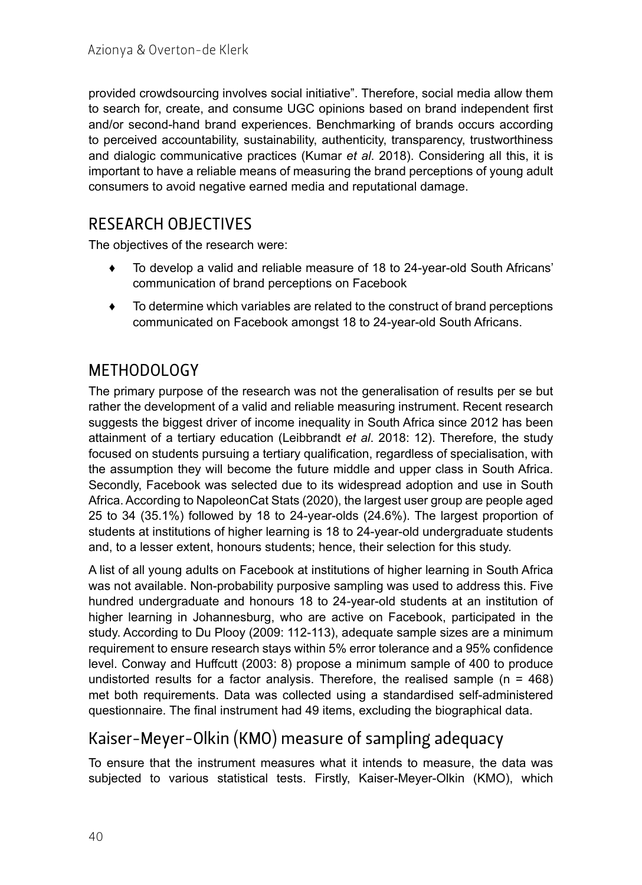provided crowdsourcing involves social initiative". Therefore, social media allow them to search for, create, and consume UGC opinions based on brand independent first and/or second-hand brand experiences. Benchmarking of brands occurs according to perceived accountability, sustainability, authenticity, transparency, trustworthiness and dialogic communicative practices (Kumar *et al*. 2018). Considering all this, it is important to have a reliable means of measuring the brand perceptions of young adult consumers to avoid negative earned media and reputational damage.

#### RESEARCH OBJECTIVES

The objectives of the research were:

- ♦ To develop a valid and reliable measure of 18 to 24-year-old South Africans' communication of brand perceptions on Facebook
- ♦ To determine which variables are related to the construct of brand perceptions communicated on Facebook amongst 18 to 24-year-old South Africans.

### METHODOLOGY

The primary purpose of the research was not the generalisation of results per se but rather the development of a valid and reliable measuring instrument. Recent research suggests the biggest driver of income inequality in South Africa since 2012 has been attainment of a tertiary education (Leibbrandt *et al*. 2018: 12). Therefore, the study focused on students pursuing a tertiary qualification, regardless of specialisation, with the assumption they will become the future middle and upper class in South Africa. Secondly, Facebook was selected due to its widespread adoption and use in South Africa. According to NapoleonCat Stats (2020), the largest user group are people aged 25 to 34 (35.1%) followed by 18 to 24-year-olds (24.6%). The largest proportion of students at institutions of higher learning is 18 to 24-year-old undergraduate students and, to a lesser extent, honours students; hence, their selection for this study.

A list of all young adults on Facebook at institutions of higher learning in South Africa was not available. Non-probability purposive sampling was used to address this. Five hundred undergraduate and honours 18 to 24-year-old students at an institution of higher learning in Johannesburg, who are active on Facebook, participated in the study. According to Du Plooy (2009: 112-113), adequate sample sizes are a minimum requirement to ensure research stays within 5% error tolerance and a 95% confidence level. Conway and Huffcutt (2003: 8) propose a minimum sample of 400 to produce undistorted results for a factor analysis. Therefore, the realised sample ( $n = 468$ ) met both requirements. Data was collected using a standardised self-administered questionnaire. The final instrument had 49 items, excluding the biographical data.

### Kaiser-Meyer-Olkin (KMO) measure of sampling adequacy

To ensure that the instrument measures what it intends to measure, the data was subjected to various statistical tests. Firstly, Kaiser-Meyer-Olkin (KMO), which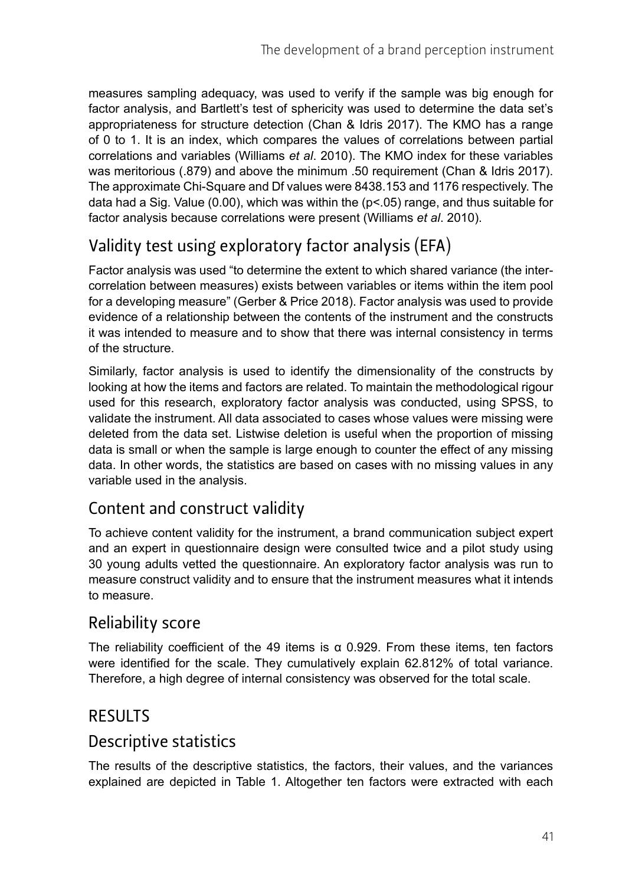measures sampling adequacy, was used to verify if the sample was big enough for factor analysis, and Bartlett's test of sphericity was used to determine the data set's appropriateness for structure detection (Chan & Idris 2017). The KMO has a range of 0 to 1. It is an index, which compares the values of correlations between partial correlations and variables (Williams *et al*. 2010). The KMO index for these variables was meritorious (.879) and above the minimum .50 requirement (Chan & Idris 2017). The approximate Chi-Square and Df values were 8438.153 and 1176 respectively. The data had a Sig. Value  $(0.00)$ , which was within the  $(p<0.05)$  range, and thus suitable for factor analysis because correlations were present (Williams *et al*. 2010).

## Validity test using exploratory factor analysis (EFA)

Factor analysis was used "to determine the extent to which shared variance (the intercorrelation between measures) exists between variables or items within the item pool for a developing measure" (Gerber & Price 2018). Factor analysis was used to provide evidence of a relationship between the contents of the instrument and the constructs it was intended to measure and to show that there was internal consistency in terms of the structure.

Similarly, factor analysis is used to identify the dimensionality of the constructs by looking at how the items and factors are related. To maintain the methodological rigour used for this research, exploratory factor analysis was conducted, using SPSS, to validate the instrument. All data associated to cases whose values were missing were deleted from the data set. Listwise deletion is useful when the proportion of missing data is small or when the sample is large enough to counter the effect of any missing data. In other words, the statistics are based on cases with no missing values in any variable used in the analysis.

### Content and construct validity

To achieve content validity for the instrument, a brand communication subject expert and an expert in questionnaire design were consulted twice and a pilot study using 30 young adults vetted the questionnaire. An exploratory factor analysis was run to measure construct validity and to ensure that the instrument measures what it intends to measure.

#### Reliability score

The reliability coefficient of the 49 items is  $\alpha$  0.929. From these items, ten factors were identified for the scale. They cumulatively explain 62.812% of total variance. Therefore, a high degree of internal consistency was observed for the total scale.

#### RESULTS

#### Descriptive statistics

The results of the descriptive statistics, the factors, their values, and the variances explained are depicted in Table 1. Altogether ten factors were extracted with each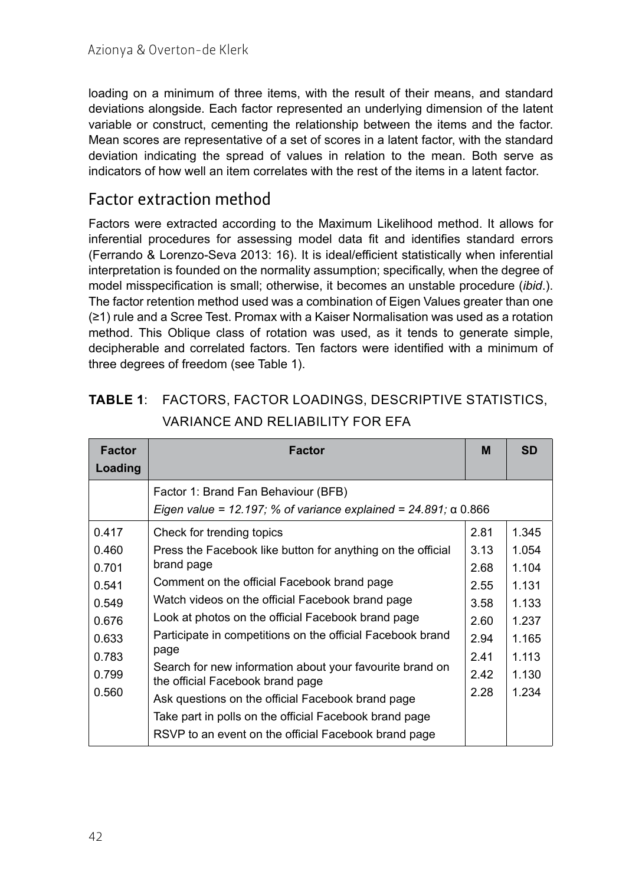loading on a minimum of three items, with the result of their means, and standard deviations alongside. Each factor represented an underlying dimension of the latent variable or construct, cementing the relationship between the items and the factor. Mean scores are representative of a set of scores in a latent factor, with the standard deviation indicating the spread of values in relation to the mean. Both serve as indicators of how well an item correlates with the rest of the items in a latent factor.

#### Factor extraction method

Factors were extracted according to the Maximum Likelihood method. It allows for inferential procedures for assessing model data fit and identifies standard errors (Ferrando & Lorenzo-Seva 2013: 16). It is ideal/efficient statistically when inferential interpretation is founded on the normality assumption; specifically, when the degree of model misspecification is small; otherwise, it becomes an unstable procedure (*ibid*.). The factor retention method used was a combination of Eigen Values greater than one (≥1) rule and a Scree Test. Promax with a Kaiser Normalisation was used as a rotation method. This Oblique class of rotation was used, as it tends to generate simple, decipherable and correlated factors. Ten factors were identified with a minimum of three degrees of freedom (see Table 1).

| <b>Factor</b><br>Loading                                                               | <b>Factor</b>                                                                                                                                                                                                                                                                                                                                                                                                                                                                                                                                        | м                                                                            | <b>SD</b>                                                                              |
|----------------------------------------------------------------------------------------|------------------------------------------------------------------------------------------------------------------------------------------------------------------------------------------------------------------------------------------------------------------------------------------------------------------------------------------------------------------------------------------------------------------------------------------------------------------------------------------------------------------------------------------------------|------------------------------------------------------------------------------|----------------------------------------------------------------------------------------|
|                                                                                        | Factor 1: Brand Fan Behaviour (BFB)<br>Eigen value = 12.197; % of variance explained = 24.891; $\alpha$ 0.866                                                                                                                                                                                                                                                                                                                                                                                                                                        |                                                                              |                                                                                        |
| 0.417<br>0.460<br>0.701<br>0.541<br>0.549<br>0.676<br>0.633<br>0.783<br>0.799<br>0.560 | Check for trending topics<br>Press the Facebook like button for anything on the official<br>brand page<br>Comment on the official Facebook brand page<br>Watch videos on the official Facebook brand page<br>Look at photos on the official Facebook brand page<br>Participate in competitions on the official Facebook brand<br>page<br>Search for new information about your favourite brand on<br>the official Facebook brand page<br>Ask questions on the official Facebook brand page<br>Take part in polls on the official Facebook brand page | 2.81<br>3.13<br>2.68<br>2.55<br>3.58<br>2.60<br>2.94<br>2.41<br>2.42<br>2.28 | 1.345<br>1.054<br>1.104<br>1.131<br>1.133<br>1.237<br>1.165<br>1.113<br>1.130<br>1.234 |

| <b>TABLE 1: FACTORS, FACTOR LOADINGS, DESCRIPTIVE STATISTICS,</b> |
|-------------------------------------------------------------------|
| VARIANCE AND RELIABILITY FOR EFA                                  |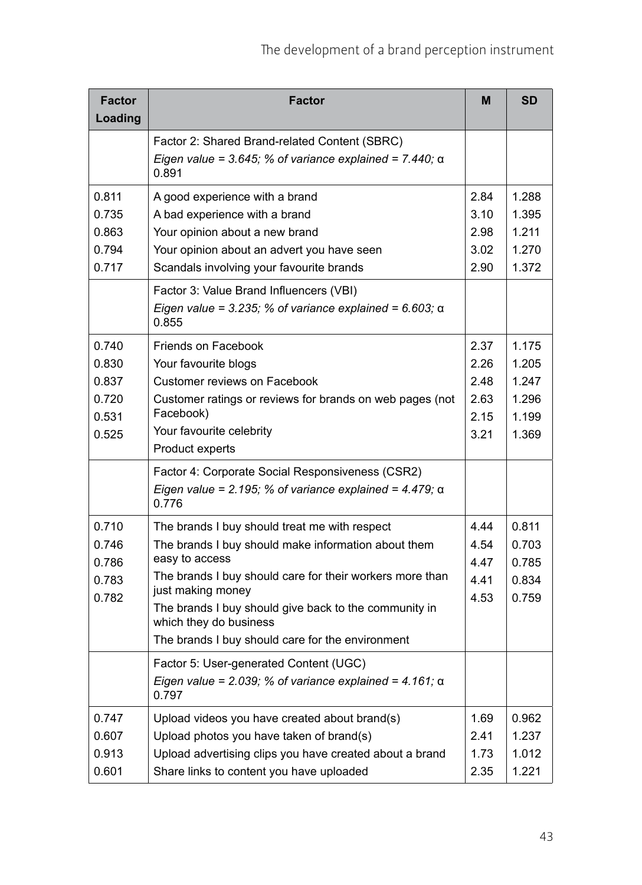| <b>Factor</b><br>Loading | <b>Factor</b>                                                                                                               | M    | <b>SD</b> |
|--------------------------|-----------------------------------------------------------------------------------------------------------------------------|------|-----------|
|                          | Factor 2: Shared Brand-related Content (SBRC)                                                                               |      |           |
|                          | Eigen value = 3.645; % of variance explained = $7.440$ ; $\alpha$<br>0.891                                                  |      |           |
| 0.811                    | A good experience with a brand                                                                                              | 2.84 | 1.288     |
| 0.735                    | A bad experience with a brand                                                                                               | 3.10 | 1.395     |
| 0.863                    | Your opinion about a new brand                                                                                              | 2.98 | 1.211     |
| 0.794                    | Your opinion about an advert you have seen                                                                                  | 3.02 | 1.270     |
| 0.717                    | Scandals involving your favourite brands                                                                                    | 2.90 | 1.372     |
|                          | Factor 3: Value Brand Influencers (VBI)<br>Eigen value = 3.235; % of variance explained = 6.603; $\alpha$<br>0.855          |      |           |
| 0.740                    | Friends on Facebook                                                                                                         | 2.37 | 1.175     |
| 0.830                    | Your favourite blogs                                                                                                        | 2.26 | 1.205     |
| 0.837                    | Customer reviews on Facebook                                                                                                | 2.48 | 1.247     |
| 0.720                    | Customer ratings or reviews for brands on web pages (not                                                                    | 2.63 | 1.296     |
| 0.531                    | Facebook)                                                                                                                   | 2.15 | 1.199     |
| 0.525                    | Your favourite celebrity                                                                                                    | 3.21 | 1.369     |
|                          | Product experts                                                                                                             |      |           |
|                          | Factor 4: Corporate Social Responsiveness (CSR2)<br>Eigen value = 2.195; % of variance explained = 4.479; $\alpha$<br>0.776 |      |           |
| 0.710                    | The brands I buy should treat me with respect                                                                               | 4.44 | 0.811     |
| 0.746                    | The brands I buy should make information about them                                                                         | 4.54 | 0.703     |
| 0.786                    | easy to access                                                                                                              | 4.47 | 0.785     |
| 0.783                    | The brands I buy should care for their workers more than                                                                    | 4.41 | 0.834     |
| 0.782                    | just making money<br>The brands I buy should give back to the community in<br>which they do business                        | 4.53 | 0.759     |
|                          | The brands I buy should care for the environment                                                                            |      |           |
|                          | Factor 5: User-generated Content (UGC)                                                                                      |      |           |
|                          | Eigen value = $2.039$ ; % of variance explained = $4.161$ ; a<br>0.797                                                      |      |           |
| 0.747                    | Upload videos you have created about brand(s)                                                                               | 1.69 | 0.962     |
| 0.607                    | Upload photos you have taken of brand(s)                                                                                    | 2.41 | 1.237     |
| 0.913                    | Upload advertising clips you have created about a brand                                                                     | 1.73 | 1.012     |
| 0.601                    | Share links to content you have uploaded                                                                                    | 2.35 | 1.221     |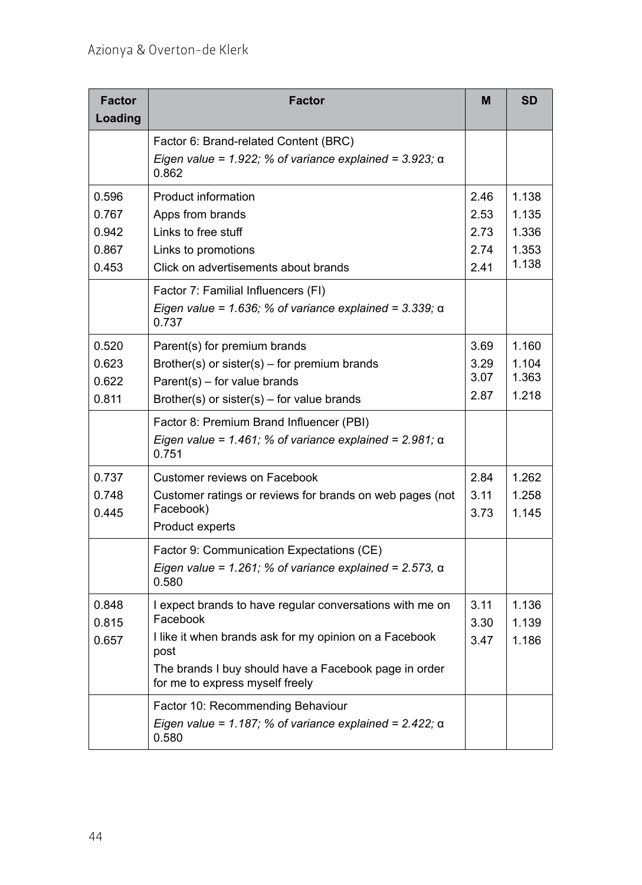| <b>Factor</b><br>Loading                  | Factor                                                                                                                                                                                                                             | M                                    | <b>SD</b>                                 |
|-------------------------------------------|------------------------------------------------------------------------------------------------------------------------------------------------------------------------------------------------------------------------------------|--------------------------------------|-------------------------------------------|
|                                           | Factor 6: Brand-related Content (BRC)<br>Eigen value = 1.922; % of variance explained = 3.923; $\alpha$<br>0.862                                                                                                                   |                                      |                                           |
| 0.596<br>0.767<br>0.942<br>0.867<br>0.453 | <b>Product information</b><br>Apps from brands<br>Links to free stuff<br>Links to promotions<br>Click on advertisements about brands                                                                                               | 2.46<br>2.53<br>2.73<br>2.74<br>2.41 | 1.138<br>1.135<br>1.336<br>1.353<br>1.138 |
|                                           | Factor 7: Familial Influencers (FI)<br>Eigen value = 1.636; % of variance explained = 3.339; $\alpha$<br>0.737                                                                                                                     |                                      |                                           |
| 0.520<br>0.623<br>0.622<br>0.811          | Parent(s) for premium brands<br>Brother(s) or sister(s) – for premium brands<br>Parent(s) - for value brands<br>Brother(s) or sister(s) – for value brands                                                                         | 3.69<br>3.29<br>3.07<br>2.87         | 1.160<br>1.104<br>1.363<br>1.218          |
|                                           | Factor 8: Premium Brand Influencer (PBI)<br>Eigen value = 1.461; % of variance explained = 2.981; $\alpha$<br>0.751                                                                                                                |                                      |                                           |
| 0.737<br>0.748<br>0.445                   | Customer reviews on Facebook<br>Customer ratings or reviews for brands on web pages (not<br>Facebook)<br>Product experts                                                                                                           | 2.84<br>3.11<br>3.73                 | 1.262<br>1.258<br>1.145                   |
|                                           | Factor 9: Communication Expectations (CE)<br>Eigen value = 1.261; % of variance explained = 2.573, $\alpha$<br>0.580                                                                                                               |                                      |                                           |
| 0.848<br>0.815<br>0.657                   | I expect brands to have regular conversations with me on<br>Facebook<br>I like it when brands ask for my opinion on a Facebook<br>post<br>The brands I buy should have a Facebook page in order<br>for me to express myself freely | 3.11<br>3.30<br>3.47                 | 1.136<br>1.139<br>1.186                   |
|                                           | Factor 10: Recommending Behaviour<br>Eigen value = 1.187; % of variance explained = $2.422$ ; $\alpha$<br>0.580                                                                                                                    |                                      |                                           |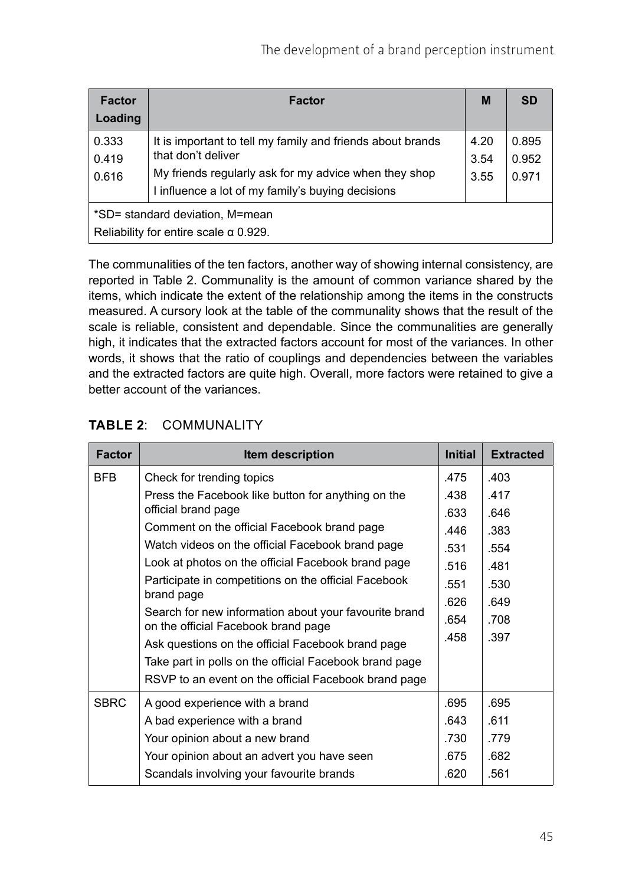| <b>Factor</b><br>Loading                                                        | <b>Factor</b>                                                                                                                                                                                  | M                    | <b>SD</b>               |  |  |
|---------------------------------------------------------------------------------|------------------------------------------------------------------------------------------------------------------------------------------------------------------------------------------------|----------------------|-------------------------|--|--|
| 0.333<br>0.419<br>0.616                                                         | It is important to tell my family and friends about brands<br>that don't deliver<br>My friends regularly ask for my advice when they shop<br>I influence a lot of my family's buying decisions | 4.20<br>3.54<br>3.55 | 0.895<br>0.952<br>0.971 |  |  |
| *SD= standard deviation, M=mean<br>Reliability for entire scale $\alpha$ 0.929. |                                                                                                                                                                                                |                      |                         |  |  |

The communalities of the ten factors, another way of showing internal consistency, are reported in Table 2. Communality is the amount of common variance shared by the items, which indicate the extent of the relationship among the items in the constructs measured. A cursory look at the table of the communality shows that the result of the scale is reliable, consistent and dependable. Since the communalities are generally high, it indicates that the extracted factors account for most of the variances. In other words, it shows that the ratio of couplings and dependencies between the variables and the extracted factors are quite high. Overall, more factors were retained to give a better account of the variances.

| <b>Factor</b> | Item description                                                                             | <b>Initial</b> | <b>Extracted</b> |
|---------------|----------------------------------------------------------------------------------------------|----------------|------------------|
| BFB           | Check for trending topics                                                                    | .475           | .403             |
|               | Press the Facebook like button for anything on the                                           | .438           | .417             |
|               | official brand page                                                                          | .633           | .646             |
|               | Comment on the official Facebook brand page                                                  | .446           | .383             |
|               | Watch videos on the official Facebook brand page                                             | .531           | .554             |
|               | Look at photos on the official Facebook brand page                                           | .516           | .481             |
|               | Participate in competitions on the official Facebook                                         | .551           | .530             |
|               | brand page                                                                                   | .626           | .649             |
|               | Search for new information about your favourite brand<br>on the official Facebook brand page | .654           | .708             |
|               | Ask questions on the official Facebook brand page                                            | .458           | .397             |
|               | Take part in polls on the official Facebook brand page                                       |                |                  |
|               | RSVP to an event on the official Facebook brand page                                         |                |                  |
| <b>SBRC</b>   | A good experience with a brand                                                               | .695           | .695             |
|               | A bad experience with a brand                                                                | .643           | .611             |
|               | Your opinion about a new brand                                                               | .730           | .779             |
|               | Your opinion about an advert you have seen                                                   | .675           | .682             |
|               | Scandals involving your favourite brands                                                     | .620           | .561             |

#### **TABLE 2**: COMMUNALITY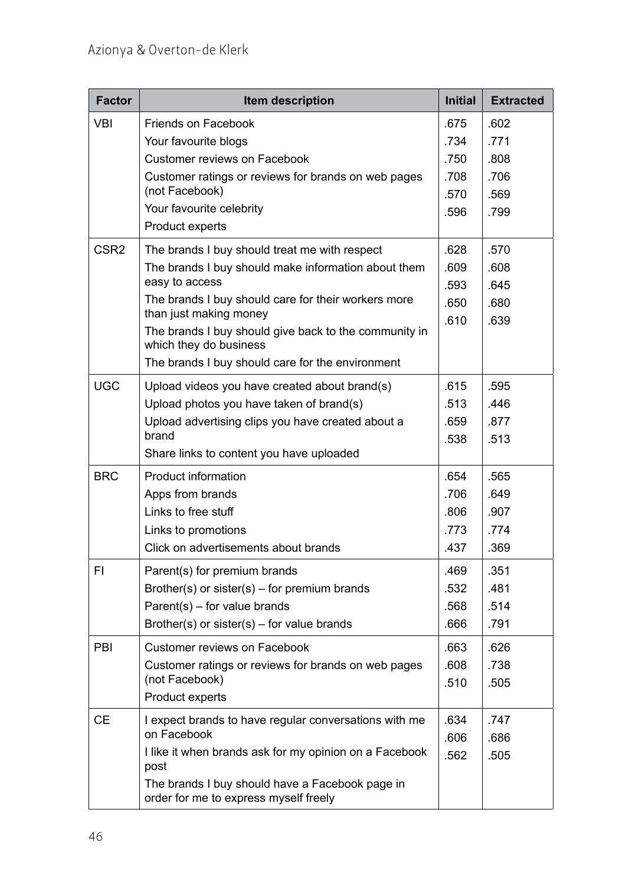| <b>Factor</b>    | Item description                                                                         | <b>Initial</b> | <b>Extracted</b> |
|------------------|------------------------------------------------------------------------------------------|----------------|------------------|
| <b>VBI</b>       | Friends on Facebook                                                                      | .675           | .602             |
|                  | Your favourite blogs                                                                     | .734           | .771             |
|                  | <b>Customer reviews on Facebook</b>                                                      | .750           | .808             |
|                  | Customer ratings or reviews for brands on web pages                                      | .708           | .706             |
|                  | (not Facebook)                                                                           | .570           | .569             |
|                  | Your favourite celebrity                                                                 | .596           | .799             |
|                  | Product experts                                                                          |                |                  |
| CSR <sub>2</sub> | The brands I buy should treat me with respect                                            | .628           | .570             |
|                  | The brands I buy should make information about them                                      | .609           | .608             |
|                  | easy to access                                                                           | .593           | .645             |
|                  | The brands I buy should care for their workers more<br>than just making money            | .650           | .680             |
|                  | The brands I buy should give back to the community in                                    | .610           | .639             |
|                  | which they do business                                                                   |                |                  |
|                  | The brands I buy should care for the environment                                         |                |                  |
| <b>UGC</b>       | Upload videos you have created about brand(s)                                            | .615           | .595             |
|                  | Upload photos you have taken of brand(s)                                                 | .513           | 446              |
|                  | Upload advertising clips you have created about a                                        | .659           | .877             |
|                  | brand                                                                                    | .538           | .513             |
|                  | Share links to content you have uploaded                                                 |                |                  |
| <b>BRC</b>       | Product information                                                                      | .654           | .565             |
|                  | Apps from brands                                                                         | .706           | .649             |
|                  | Links to free stuff                                                                      | .806           | .907             |
|                  | Links to promotions                                                                      | .773           | .774             |
|                  | Click on advertisements about brands                                                     | .437           | .369             |
| FI.              | Parent(s) for premium brands                                                             | .469           | .351             |
|                  | Brother(s) or sister(s) – for premium brands                                             | .532           | .481             |
|                  | $Parent(s) - for value brands)$                                                          | .568           | .514             |
|                  | Brother(s) or sister(s) – for value brands                                               | .666           | .791             |
| PBI              | Customer reviews on Facebook                                                             | .663           | .626             |
|                  | Customer ratings or reviews for brands on web pages                                      | .608           | .738             |
|                  | (not Facebook)                                                                           | .510           | .505             |
|                  | Product experts                                                                          |                |                  |
| <b>CE</b>        | I expect brands to have regular conversations with me                                    | .634           | .747             |
|                  | on Facebook                                                                              | .606           | .686             |
|                  | I like it when brands ask for my opinion on a Facebook<br>post                           | .562           | .505             |
|                  | The brands I buy should have a Facebook page in<br>order for me to express myself freely |                |                  |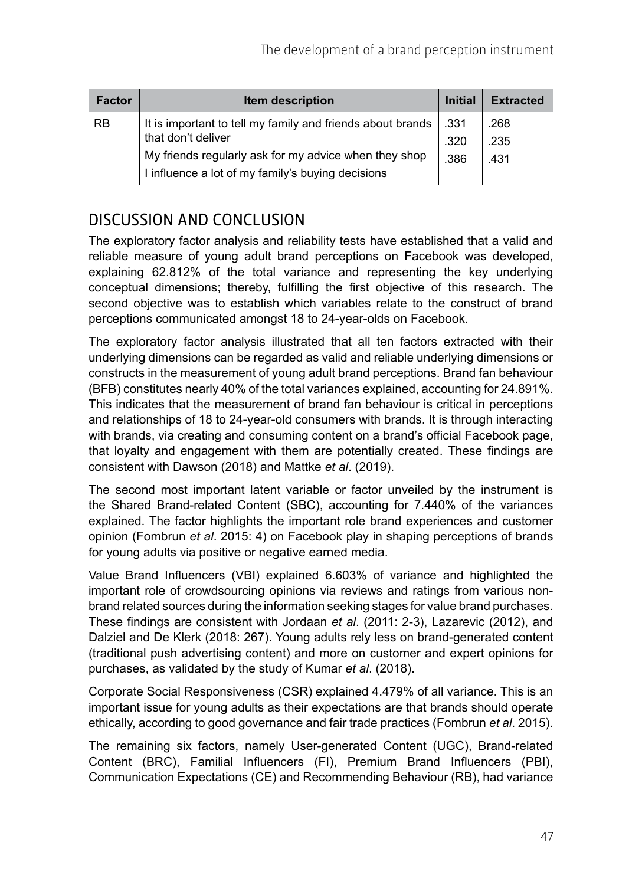| <b>Factor</b> | <b>Item description</b>                                    | <b>Initial</b> | <b>Extracted</b> |
|---------------|------------------------------------------------------------|----------------|------------------|
| <b>RB</b>     | It is important to tell my family and friends about brands | ∣.331          | .268             |
|               | that don't deliver                                         | .320           | .235             |
|               | My friends regularly ask for my advice when they shop      | .386           | .431             |
|               | I influence a lot of my family's buying decisions          |                |                  |

### DISCUSSION AND CONCLUSION

The exploratory factor analysis and reliability tests have established that a valid and reliable measure of young adult brand perceptions on Facebook was developed, explaining 62.812% of the total variance and representing the key underlying conceptual dimensions; thereby, fulfilling the first objective of this research. The second objective was to establish which variables relate to the construct of brand perceptions communicated amongst 18 to 24-year-olds on Facebook.

The exploratory factor analysis illustrated that all ten factors extracted with their underlying dimensions can be regarded as valid and reliable underlying dimensions or constructs in the measurement of young adult brand perceptions. Brand fan behaviour (BFB) constitutes nearly 40% of the total variances explained, accounting for 24.891%. This indicates that the measurement of brand fan behaviour is critical in perceptions and relationships of 18 to 24-year-old consumers with brands. It is through interacting with brands, via creating and consuming content on a brand's official Facebook page, that loyalty and engagement with them are potentially created. These findings are consistent with Dawson (2018) and Mattke *et al*. (2019).

The second most important latent variable or factor unveiled by the instrument is the Shared Brand-related Content (SBC), accounting for 7.440% of the variances explained. The factor highlights the important role brand experiences and customer opinion (Fombrun *et al*. 2015: 4) on Facebook play in shaping perceptions of brands for young adults via positive or negative earned media.

Value Brand Influencers (VBI) explained 6.603% of variance and highlighted the important role of crowdsourcing opinions via reviews and ratings from various nonbrand related sources during the information seeking stages for value brand purchases. These findings are consistent with Jordaan *et al*. (2011: 2-3), Lazarevic (2012), and Dalziel and De Klerk (2018: 267). Young adults rely less on brand-generated content (traditional push advertising content) and more on customer and expert opinions for purchases, as validated by the study of Kumar *et al*. (2018).

Corporate Social Responsiveness (CSR) explained 4.479% of all variance. This is an important issue for young adults as their expectations are that brands should operate ethically, according to good governance and fair trade practices (Fombrun *et al*. 2015).

The remaining six factors, namely User-generated Content (UGC), Brand-related Content (BRC), Familial Influencers (FI), Premium Brand Influencers (PBI), Communication Expectations (CE) and Recommending Behaviour (RB), had variance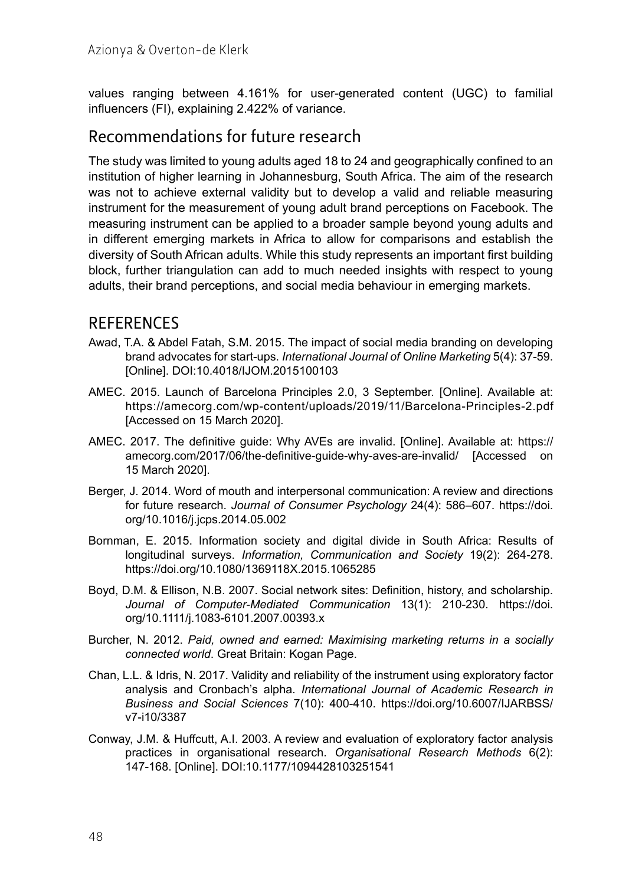values ranging between 4.161% for user-generated content (UGC) to familial influencers (FI), explaining 2.422% of variance.

#### Recommendations for future research

The study was limited to young adults aged 18 to 24 and geographically confined to an institution of higher learning in Johannesburg, South Africa. The aim of the research was not to achieve external validity but to develop a valid and reliable measuring instrument for the measurement of young adult brand perceptions on Facebook. The measuring instrument can be applied to a broader sample beyond young adults and in different emerging markets in Africa to allow for comparisons and establish the diversity of South African adults. While this study represents an important first building block, further triangulation can add to much needed insights with respect to young adults, their brand perceptions, and social media behaviour in emerging markets.

#### **REFERENCES**

- Awad, T.A. & Abdel Fatah, S.M. 2015. The impact of social media branding on developing brand advocates for start-ups. *International Journal of Online Marketing* 5(4): 37-59. [Online]. DOI:10.4018/IJOM.2015100103
- AMEC. 2015. Launch of Barcelona Principles 2.0, 3 September. [Online]. Available at: <https://amecorg.com/wp-content/uploads/2019/11/Barcelona-Principles-2.pdf> [Accessed on 15 March 2020].
- AMEC. 2017. The definitive guide: Why AVEs are invalid. [Online]. Available at: [https://](https://amecorg.com/2017/06/the-definitive-guide-why-aves-are-invalid/) [amecorg.com/2017/06/the-definitive-guide-why-aves-are-invalid/](https://amecorg.com/2017/06/the-definitive-guide-why-aves-are-invalid/) [Accessed on 15 March 2020].
- Berger, J. 2014. Word of mouth and interpersonal communication: A review and directions for future research. *Journal of Consumer Psychology* 24(4): 586–607. [https://doi.](https://doi.org/10.1016/j.jcps.2014.05.002) [org/10.1016/j.jcps.2014.05.002](https://doi.org/10.1016/j.jcps.2014.05.002)
- Bornman, E. 2015. Information society and digital divide in South Africa: Results of longitudinal surveys. *Information, Communication and Society* 19(2): 264-278. <https://doi.org/10.1080/1369118X.2015.1065285>
- Boyd, D.M. & Ellison, N.B. 2007. Social network sites: Definition, history, and scholarship. *Journal of Computer-Mediated Communication* 13(1): 210-230. [https://doi.](https://doi.org/10.1111/j.1083-6101.2007.00393.x) [org/10.1111/j.1083-6101.2007.00393.x](https://doi.org/10.1111/j.1083-6101.2007.00393.x)
- Burcher, N. 2012. *Paid, owned and earned: Maximising marketing returns in a socially connected world*. Great Britain: Kogan Page.
- Chan, L.L. & Idris, N. 2017. Validity and reliability of the instrument using exploratory factor analysis and Cronbach's alpha. *International Journal of Academic Research in Business and Social Sciences* 7(10): 400-410. [https://doi.org/10.6007/IJARBSS/](https://doi.org/10.6007/IJARBSS/v7-i10/3387) [v7-i10/3387](https://doi.org/10.6007/IJARBSS/v7-i10/3387)
- Conway, J.M. & Huffcutt, A.I. 2003. A review and evaluation of exploratory factor analysis practices in organisational research. *Organisational Research Methods* 6(2): 147‑168. [Online]. DOI:10.1177/1094428103251541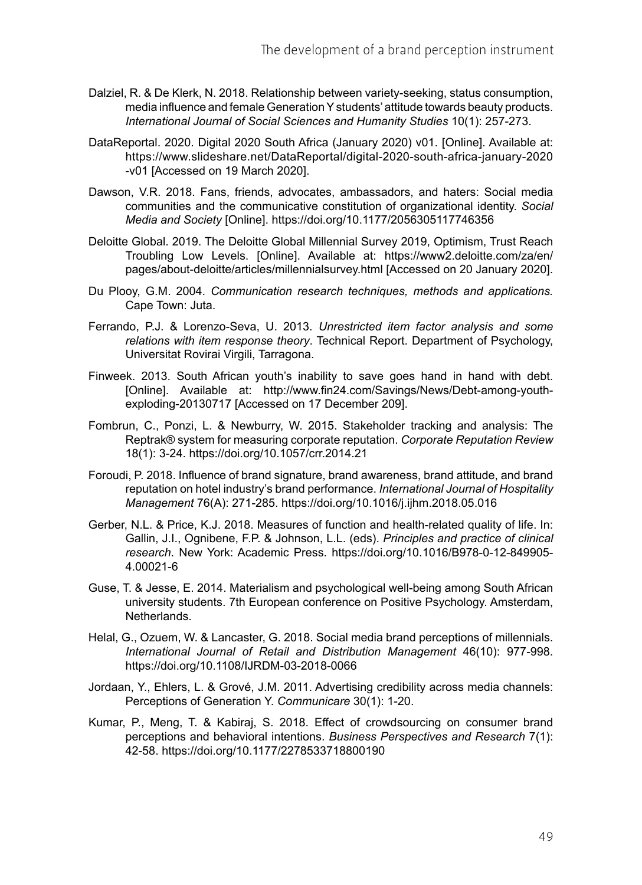- Dalziel, R. & De Klerk, N. 2018. Relationship between variety-seeking, status consumption, media influence and female Generation Y students' attitude towards beauty products. *International Journal of Social Sciences and Humanity Studies* 10(1): 257-273.
- DataReportal. 2020. Digital 2020 South Africa (January 2020) v01. [Online]. Available at: [https://www.slideshare.net/DataReportal/digital-2020-south-africa-january-2020](https://www.slideshare.net/DataReportal/digital-2020-south-africa-january-2020-v01) [-v01](https://www.slideshare.net/DataReportal/digital-2020-south-africa-january-2020-v01) [Accessed on 19 March 2020].
- Dawson, V.R. 2018. Fans, friends, advocates, ambassadors, and haters: Social media communities and the communicative constitution of organizational identity. *Social Media and Society* [Online]. <https://doi.org/10.1177/2056305117746356>
- Deloitte Global. 2019. The Deloitte Global Millennial Survey 2019, Optimism, Trust Reach Troubling Low Levels. [Online]. Available at: [https://www2.deloitte.com/za/en/](https://www2.deloitte.com/za/en/pages/about-deloitte/articles/millennialsurvey.html) [pages/about-deloitte/articles/millennialsurvey.html](https://www2.deloitte.com/za/en/pages/about-deloitte/articles/millennialsurvey.html) [Accessed on 20 January 2020].
- Du Plooy, G.M. 2004. *Communication research techniques, methods and applications.* Cape Town: Juta.
- Ferrando, P.J. & Lorenzo-Seva, U. 2013. *Unrestricted item factor analysis and some relations with item response theory*. Technical Report. Department of Psychology, Universitat Rovirai Virgili, Tarragona.
- Finweek. 2013. South African youth's inability to save goes hand in hand with debt. [Online]. Available at: [http://www.fin24.com/Savings/News/Debt-among-youth](http://www.fin24.com/Savings/News/Debt-among-youth-exploding-20130717)[exploding-20130717](http://www.fin24.com/Savings/News/Debt-among-youth-exploding-20130717) [Accessed on 17 December 209].
- Fombrun, C., Ponzi, L. & Newburry, W. 2015. Stakeholder tracking and analysis: The Reptrak® system for measuring corporate reputation. *Corporate Reputation Review* 18(1): 3-24.<https://doi.org/10.1057/crr.2014.21>
- Foroudi, P. 2018. Influence of brand signature, brand awareness, brand attitude, and brand reputation on hotel industry's brand performance. *International Journal of Hospitality Management* 76(A): 271-285.<https://doi.org/10.1016/j.ijhm.2018.05.016>
- Gerber, N.L. & Price, K.J. 2018. Measures of function and health-related quality of life. In: Gallin, J.I., Ognibene, F.P. & Johnson, L.L. (eds). *Principles and practice of clinical research*. New York: Academic Press. [https://doi.org/10.1016/B978-0-12-849905-](https://doi.org/10.1016/B978-0-12-849905-4.00021-6) [4.00021-6](https://doi.org/10.1016/B978-0-12-849905-4.00021-6)
- Guse, T. & Jesse, E. 2014. Materialism and psychological well-being among South African university students. 7th European conference on Positive Psychology. Amsterdam, Netherlands.
- Helal, G., Ozuem, W. & Lancaster, G. 2018. Social media brand perceptions of millennials. *International Journal of Retail and Distribution Management* 46(10): 977-998. <https://doi.org/10.1108/IJRDM-03-2018-0066>
- Jordaan, Y., Ehlers, L. & Grové, J.M. 2011. Advertising credibility across media channels: Perceptions of Generation Y. *Communicare* 30(1): 1-20.
- Kumar, P., Meng, T. & Kabiraj, S. 2018. Effect of crowdsourcing on consumer brand perceptions and behavioral intentions. *Business Perspectives and Research* 7(1): 42-58.<https://doi.org/10.1177/2278533718800190>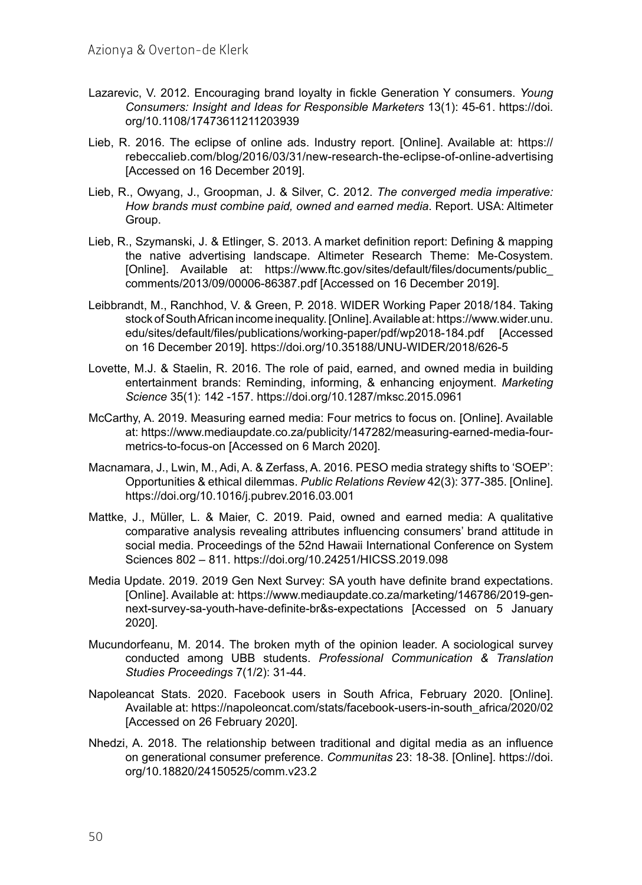- Lazarevic, V. 2012. Encouraging brand loyalty in fickle Generation Y consumers. *Young Consumers: Insight and Ideas for Responsible Marketers* 13(1): 45-61. [https://doi.](https://doi.org/10.1108/17473611211203939) [org/10.1108/17473611211203939](https://doi.org/10.1108/17473611211203939)
- Lieb, R. 2016. The eclipse of online ads. Industry report. [Online]. Available at: [https://](https://rebeccalieb.com/blog/2016/03/31/new-research-the-eclipse-of-online-advertising) [rebeccalieb.com/blog/2016/03/31/new-research-the-eclipse-of-online-advertising](https://rebeccalieb.com/blog/2016/03/31/new-research-the-eclipse-of-online-advertising) [Accessed on 16 December 2019].
- Lieb, R., Owyang, J., Groopman, J. & Silver, C. 2012. *The converged media imperative: How brands must combine paid, owned and earned media*. Report. USA: Altimeter Group.
- Lieb, R., Szymanski, J. & Etlinger, S. 2013. A market definition report: Defining & mapping the native advertising landscape. Altimeter Research Theme: Me-Cosystem. [Online]. Available at: [https://www.ftc.gov/sites/default/files/documents/public\\_](https://www.ftc.gov/sites/default/files/documents/public_comments/2013/09/00006-86387.pdf) [comments/2013/09/00006-86387.pdf](https://www.ftc.gov/sites/default/files/documents/public_comments/2013/09/00006-86387.pdf) [Accessed on 16 December 2019].
- Leibbrandt, M., Ranchhod, V. & Green, P. 2018. WIDER Working Paper 2018/184. Taking stock of South African income inequality. [Online]. Available at: [https://www.wider.unu.](https://www.wider.unu.edu/sites/default/files/Publications/Working-paper/PDF/wp2018-184.pdf) [edu/sites/default/files/publications/working-paper/pdf/wp2018-184.pdf](https://www.wider.unu.edu/sites/default/files/Publications/Working-paper/PDF/wp2018-184.pdf) [Accessed on 16 December 2019]. <https://doi.org/10.35188/UNU-WIDER/2018/626-5>
- Lovette, M.J. & Staelin, R. 2016. The role of paid, earned, and owned media in building entertainment brands: Reminding, informing, & enhancing enjoyment. *Marketing Science* 35(1): 142 -157.<https://doi.org/10.1287/mksc.2015.0961>
- McCarthy, A. 2019. Measuring earned media: Four metrics to focus on. [Online]. Available at: [https://www.mediaupdate.co.za/publicity/147282/measuring-earned-media-four](https://www.mediaupdate.co.za/publicity/147282/measuring-earned-media-four-metrics-to-focus-on)[metrics-to-focus-on](https://www.mediaupdate.co.za/publicity/147282/measuring-earned-media-four-metrics-to-focus-on) [Accessed on 6 March 2020].
- Macnamara, J., Lwin, M., Adi, A. & Zerfass, A. 2016. PESO media strategy shifts to 'SOEP': Opportunities & ethical dilemmas. *Public Relations Review* 42(3): 377-385. [Online]. <https://doi.org/10.1016/j.pubrev.2016.03.001>
- Mattke, J., Müller, L. & Maier, C. 2019. Paid, owned and earned media: A qualitative comparative analysis revealing attributes influencing consumers' brand attitude in social media. Proceedings of the 52nd Hawaii International Conference on System Sciences 802 – 811. <https://doi.org/10.24251/HICSS.2019.098>
- Media Update. 2019. 2019 Gen Next Survey: SA youth have definite brand expectations. [Online]. Available at: [https://www.mediaupdate.co.za/marketing/146786/2019-gen](https://www.mediaupdate.co.za/marketing/146786/2019-gen-next-survey-sa-youth-have-definite-brands-expectations)[next-survey-sa-youth-have-definite-br&s-expectations](https://www.mediaupdate.co.za/marketing/146786/2019-gen-next-survey-sa-youth-have-definite-brands-expectations) [Accessed on 5 January 2020].
- Mucundorfeanu, M. 2014. The broken myth of the opinion leader. A sociological survey conducted among UBB students. *Professional Communication & Translation Studies Proceedings* 7(1/2): 31-44.
- Napoleancat Stats. 2020. Facebook users in South Africa, February 2020. [Online]. Available at: [https://napoleoncat.com/stats/facebook-users-in-south\\_africa/2020/02](https://napoleoncat.com/stats/facebook-users-in-south_africa/2020/02) [Accessed on 26 February 2020].
- Nhedzi, A. 2018. The relationship between traditional and digital media as an influence on generational consumer preference. *Communitas* 23: 18-38. [Online]. [https://doi.](https://doi.org/10.18820/24150525/Comm.v23.2) [org/10.18820/24150525/comm.v23.2](https://doi.org/10.18820/24150525/Comm.v23.2)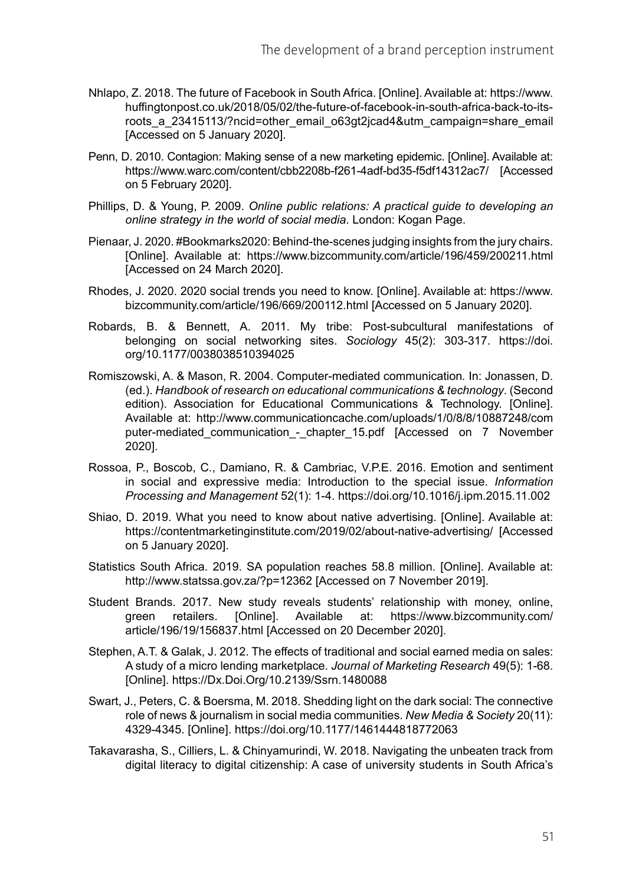- Nhlapo, Z. 2018. The future of Facebook in South Africa. [Online]. Available at: [https://www.](https://www.huffingtonpost.co.uk/2018/05/02/the-future-of-facebook-in-south-africa-back-to-its-roots_a_23415113/?ncid=other_email_o63gt2jcad4&utm_campaign=share_email) [huffingtonpost.co.uk/2018/05/02/the-future-of-facebook-in-south-africa-back-to-its](https://www.huffingtonpost.co.uk/2018/05/02/the-future-of-facebook-in-south-africa-back-to-its-roots_a_23415113/?ncid=other_email_o63gt2jcad4&utm_campaign=share_email)[roots\\_a\\_23415113/?ncid=other\\_email\\_o63gt2jcad4&utm\\_campaign=share\\_email](https://www.huffingtonpost.co.uk/2018/05/02/the-future-of-facebook-in-south-africa-back-to-its-roots_a_23415113/?ncid=other_email_o63gt2jcad4&utm_campaign=share_email) [Accessed on 5 January 2020].
- Penn, D. 2010. Contagion: Making sense of a new marketing epidemic. [Online]. Available at: [https://www.warc.com/content/cbb2208b-f261-4adf-bd35-f5df14312ac7/](https://www.warc.com/Content/cbb2208b-f261-4adf-bd35-f5df14312ac7/) [Accessed on 5 February 2020].
- Phillips, D. & Young, P. 2009. *Online public relations: A practical guide to developing an online strategy in the world of social media*. London: Kogan Page.
- Pienaar, J. 2020. #Bookmarks2020: Behind-the-scenes judging insights from the jury chairs. [Online]. Available at: [https://www.bizcommunity.com/article/196/459/200211.html](https://www.bizcommunity.com/Article/196/459/200211.html) [Accessed on 24 March 2020].
- Rhodes, J. 2020. 2020 social trends you need to know. [Online]. Available at: [https://www.](https://www.bizcommunity.com/Article/196/669/200112.html) [bizcommunity.com/article/196/669/200112.html](https://www.bizcommunity.com/Article/196/669/200112.html) [Accessed on 5 January 2020].
- Robards, B. & Bennett, A. 2011. My tribe: Post-subcultural manifestations of belonging on social networking sites. *Sociology* 45(2): 303-317. [https://doi.](https://doi.org/10.1177/0038038510394025) [org/10.1177/0038038510394025](https://doi.org/10.1177/0038038510394025)
- Romiszowski, A. & Mason, R. 2004. Computer-mediated communication*.* In: Jonassen, D. (ed.). *Handbook of research on educational communications & technology*. (Second edition). Association for Educational Communications & Technology. [Online]. Available at: [http://www.communicationcache.com/uploads/1/0/8/8/10887248/com](http://www.communicationcache.com/uploads/1/0/8/8/10887248/computer-mediated_communication_-_chapter_15.pdf) puter-mediated communication - chapter 15.pdf [Accessed on 7 November 2020].
- Rossoa, P., Boscob, C., Damiano, R. & Cambriac, V.P.E. 2016. Emotion and sentiment in social and expressive media: Introduction to the special issue. *Information Processing and Management* 52(1): 1-4. <https://doi.org/10.1016/j.ipm.2015.11.002>
- Shiao, D. 2019. What you need to know about native advertising. [Online]. Available at: <https://contentmarketinginstitute.com/2019/02/about-native-advertising/> [Accessed on 5 January 2020].
- Statistics South Africa. 2019. SA population reaches 58.8 million. [Online]. Available at: <http://www.statssa.gov.za/?p=12362> [Accessed on 7 November 2019].
- Student Brands. 2017. New study reveals students' relationship with money, online, green retailers. [Online]. Available at: [https://www.bizcommunity.com/](https://www.bizcommunity.com/Article/196/19/156837.html) [article/196/19/156837.html](https://www.bizcommunity.com/Article/196/19/156837.html) [Accessed on 20 December 2020].
- Stephen, A.T. & Galak, J. 2012. The effects of traditional and social earned media on sales: A study of a micro lending marketplace. *Journal of Marketing Research* 49(5): 1-68. [Online]. <https://Dx.Doi.Org/10.2139/Ssrn.1480088>
- Swart, J., Peters, C. & Boersma, M. 2018. Shedding light on the dark social: The connective role of news & journalism in social media communities. *New Media & Society* 20(11): 4329-4345. [Online].<https://doi.org/10.1177/1461444818772063>
- Takavarasha, S., Cilliers, L. & Chinyamurindi, W. 2018. Navigating the unbeaten track from digital literacy to digital citizenship: A case of university students in South Africa's